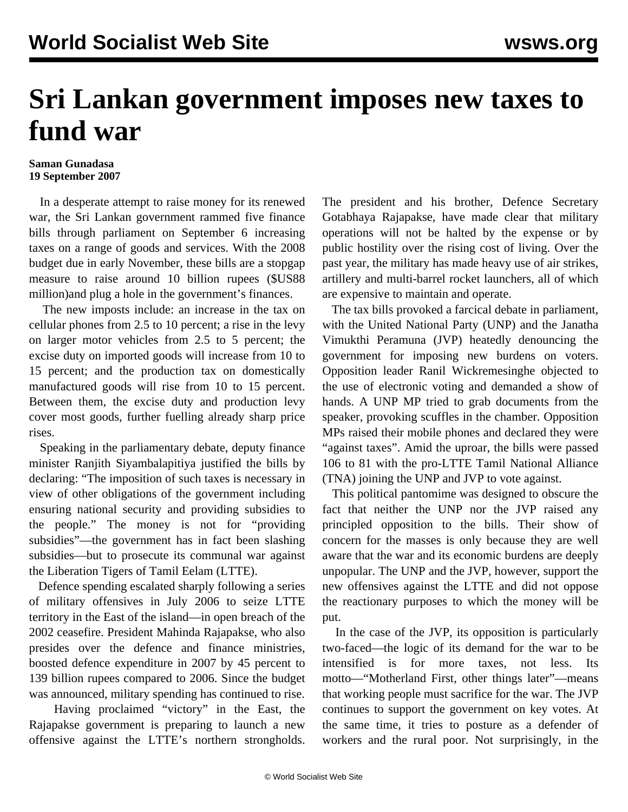## **Sri Lankan government imposes new taxes to fund war**

## **Saman Gunadasa 19 September 2007**

 In a desperate attempt to raise money for its renewed war, the Sri Lankan government rammed five finance bills through parliament on September 6 increasing taxes on a range of goods and services. With the 2008 budget due in early November, these bills are a stopgap measure to raise around 10 billion rupees (\$US88 million)and plug a hole in the government's finances.

 The new imposts include: an increase in the tax on cellular phones from 2.5 to 10 percent; a rise in the levy on larger motor vehicles from 2.5 to 5 percent; the excise duty on imported goods will increase from 10 to 15 percent; and the production tax on domestically manufactured goods will rise from 10 to 15 percent. Between them, the excise duty and production levy cover most goods, further fuelling already sharp price rises.

 Speaking in the parliamentary debate, deputy finance minister Ranjith Siyambalapitiya justified the bills by declaring: "The imposition of such taxes is necessary in view of other obligations of the government including ensuring national security and providing subsidies to the people." The money is not for "providing subsidies"—the government has in fact been slashing subsidies—but to prosecute its communal war against the Liberation Tigers of Tamil Eelam (LTTE).

 Defence spending escalated sharply following a series of military offensives in July 2006 to seize LTTE territory in the East of the island—in open breach of the 2002 ceasefire. President Mahinda Rajapakse, who also presides over the defence and finance ministries, boosted defence expenditure in 2007 by 45 percent to 139 billion rupees compared to 2006. Since the budget was announced, military spending has continued to rise.

 Having proclaimed "victory" in the East, the Rajapakse government is preparing to launch a new offensive against the LTTE's northern strongholds.

The president and his brother, Defence Secretary Gotabhaya Rajapakse, have made clear that military operations will not be halted by the expense or by public hostility over the rising cost of living. Over the past year, the military has made heavy use of air strikes, artillery and multi-barrel rocket launchers, all of which are expensive to maintain and operate.

 The tax bills provoked a farcical debate in parliament, with the United National Party (UNP) and the Janatha Vimukthi Peramuna (JVP) heatedly denouncing the government for imposing new burdens on voters. Opposition leader Ranil Wickremesinghe objected to the use of electronic voting and demanded a show of hands. A UNP MP tried to grab documents from the speaker, provoking scuffles in the chamber. Opposition MPs raised their mobile phones and declared they were "against taxes". Amid the uproar, the bills were passed 106 to 81 with the pro-LTTE Tamil National Alliance (TNA) joining the UNP and JVP to vote against.

 This political pantomime was designed to obscure the fact that neither the UNP nor the JVP raised any principled opposition to the bills. Their show of concern for the masses is only because they are well aware that the war and its economic burdens are deeply unpopular. The UNP and the JVP, however, support the new offensives against the LTTE and did not oppose the reactionary purposes to which the money will be put.

 In the case of the JVP, its opposition is particularly two-faced—the logic of its demand for the war to be intensified is for more taxes, not less. Its motto—"Motherland First, other things later"—means that working people must sacrifice for the war. The JVP continues to support the government on key votes. At the same time, it tries to posture as a defender of workers and the rural poor. Not surprisingly, in the